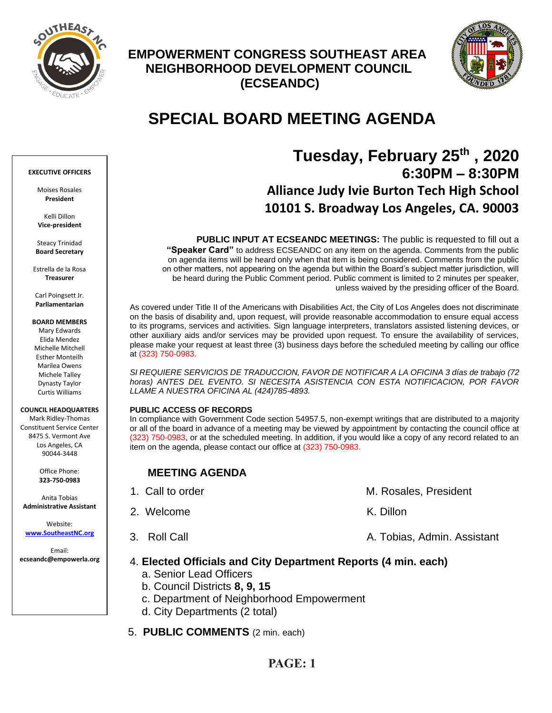

## **EMPOWERMENT CONGRESS SOUTHEAST AREA NEIGHBORHOOD DEVELOPMENT COUNCIL (ECSEANDC)**



# **SPECIAL BOARD MEETING AGENDA**

### **EXECUTIVE OFFICERS**

Moises Rosales **President**

Kelli Dillon **Vice-president**

Steacy Trinidad **Board Secretary**

Estrella de la Rosa **Treasurer**

Carl Poingsett Jr. **Parliamentarian**

**BOARD MEMBERS**

Mary Edwards Elida Mendez Michelle Mitchell Esther Monteilh Marilea Owens Michele Talley Dynasty Taylor Curtis Williams

#### **COUNCIL HEADQUARTERS**

Mark Ridley-Thomas Constituent Service Center 8475 S. Vermont Ave Los Angeles, CA 90044-3448

> Office Phone: **323-750-0983**

Anita Tobias **Administrative Assistant**

Website: **[www.SoutheastNC.org](http://www.ecseandc.org/)**

Email: **ecseandc@empowerla.org**

## **Tuesday, February 25 th , 2020 6:30PM – 8:30PM Alliance Judy Ivie Burton Tech High School 10101 S. Broadway Los Angeles, CA. 90003**

**PUBLIC INPUT AT ECSEANDC MEETINGS:** The public is requested to fill out a **"Speaker Card"** to address ECSEANDC on any item on the agenda. Comments from the public on agenda items will be heard only when that item is being considered. Comments from the public on other matters, not appearing on the agenda but within the Board's subject matter jurisdiction, will be heard during the Public Comment period. Public comment is limited to 2 minutes per speaker, unless waived by the presiding officer of the Board.

As covered under Title II of the Americans with Disabilities Act, the City of Los Angeles does not discriminate on the basis of disability and, upon request, will provide reasonable accommodation to ensure equal access to its programs, services and activities. Sign language interpreters, translators assisted listening devices, or other auxiliary aids and/or services may be provided upon request. To ensure the availability of services, please make your request at least three (3) business days before the scheduled meeting by calling our office at (323) 750-0983.

*SI REQUIERE SERVICIOS DE TRADUCCION, FAVOR DE NOTIFICAR A LA OFICINA 3 días de trabajo (72 horas) ANTES DEL EVENTO. SI NECESITA ASISTENCIA CON ESTA NOTIFICACION, POR FAVOR LLAME A NUESTRA OFICINA AL (424)785-4893.*

## **PUBLIC ACCESS OF RECORDS**

In compliance with Government Code section 54957.5, non-exempt writings that are distributed to a majority or all of the board in advance of a meeting may be viewed by appointment by contacting the council office at (323) 750-0983, or at the scheduled meeting. In addition, if you would like a copy of any record related to an item on the agenda, please contact our office at (323) 750-0983.

## **MEETING AGENDA**

1. Call to order M. Rosales, President 2. Welcome K. Dillon 3. Roll Call A. Tobias, Admin. Assistant

## 4. **Elected Officials and City Department Reports (4 min. each)**

- a. Senior Lead Officers
- b. Council Districts **8, 9, 15**
- c. Department of Neighborhood Empowerment
- d. City Departments (2 total)
- 5. **PUBLIC COMMENTS** (2 min. each)

## **PAGE: 1**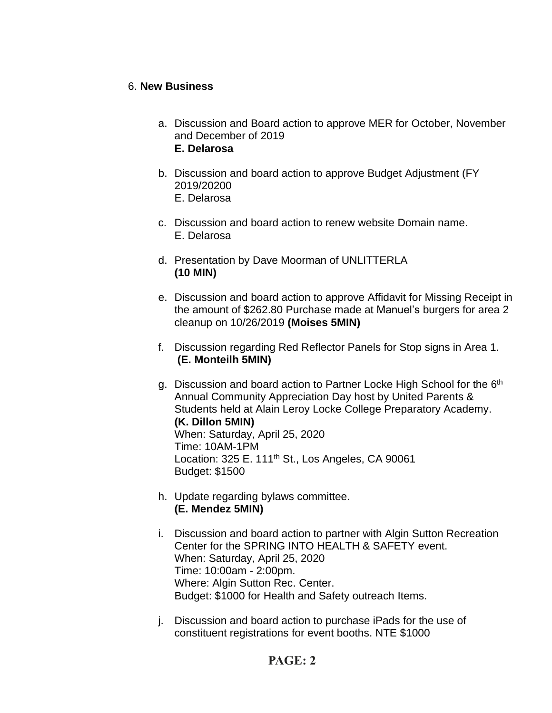## 6. **New Business**

- a. Discussion and Board action to approve MER for October, November and December of 2019 **E. Delarosa**
- b. Discussion and board action to approve Budget Adjustment (FY 2019/20200 E. Delarosa
- c. Discussion and board action to renew website Domain name. E. Delarosa
- d. Presentation by Dave Moorman of UNLITTERLA **(10 MIN)**
- e. Discussion and board action to approve Affidavit for Missing Receipt in the amount of \$262.80 Purchase made at Manuel's burgers for area 2 cleanup on 10/26/2019 **(Moises 5MIN)**
- f. Discussion regarding Red Reflector Panels for Stop signs in Area 1. **(E. Monteilh 5MIN)**
- g. Discussion and board action to Partner Locke High School for the 6<sup>th</sup> Annual Community Appreciation Day host by United Parents & Students held at Alain Leroy Locke College Preparatory Academy. **(K. Dillon 5MIN)** When: Saturday, April 25, 2020 Time: 10AM-1PM Location: 325 E. 111<sup>th</sup> St., Los Angeles, CA 90061 Budget: \$1500
- h. Update regarding bylaws committee. **(E. Mendez 5MIN)**
- i. Discussion and board action to partner with Algin Sutton Recreation Center for the SPRING INTO HEALTH & SAFETY event. When: Saturday, April 25, 2020 Time: 10:00am - 2:00pm. Where: Algin Sutton Rec. Center. Budget: \$1000 for Health and Safety outreach Items.
- j. Discussion and board action to purchase iPads for the use of constituent registrations for event booths. NTE \$1000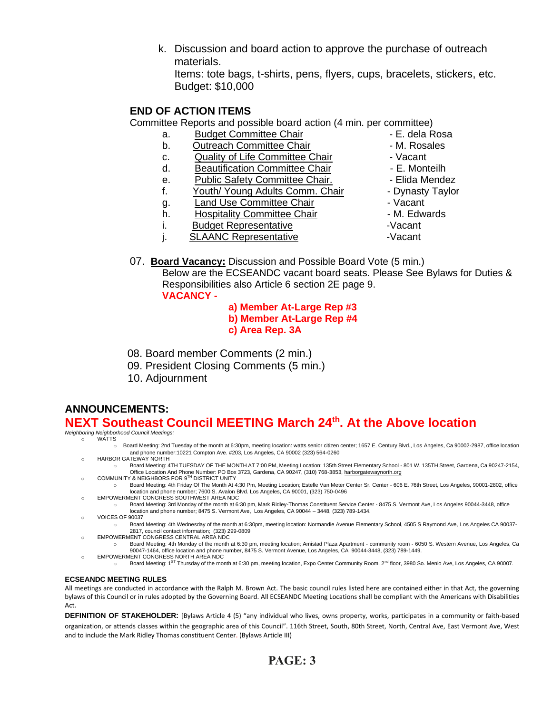k. Discussion and board action to approve the purchase of outreach materials.

Items: tote bags, t-shirts, pens, flyers, cups, bracelets, stickers, etc. Budget: \$10,000

## **END OF ACTION ITEMS**

Committee Reports and possible board action (4 min. per committee)

- a. Budget Committee Chair **1988** E. dela Rosa
- b. Outreach Committee Chair **Day 1. 1. Solut For Alexander** M. Rosales
- c. Quality of Life Committee Chair  **Vacant**
- d. Beautification Committee Chair  **E. Monteilh**
- e. Public Safety Committee Chair.  **Elida Mendez**
- f. Youth/ Young Adults Comm. Chair Dynasty Taylor
- g. Land Use Committee Chair **1988** Vacant
- h. Hospitality Committee Chair M. Edwards
- i. Budget Representative **Example 20** -Vacant
- j. SLAANC Representative Vacant
- 
- 
- 
- 
- 
- 
- 
- 
- 
- 
- 07. **Board Vacancy:** Discussion and Possible Board Vote (5 min.)

Below are the ECSEANDC vacant board seats. Please See Bylaws for Duties & Responsibilities also Article 6 section 2E page 9.

- **VACANCY -**
- **a) Member At-Large Rep #3**
- **b) Member At-Large Rep #4**
- **c) Area Rep. 3A**
- 08. Board member Comments (2 min.)
- 09. President Closing Comments (5 min.)
- 10. Adjournment

## **ANNOUNCEMENTS: NEXT Southeast Council MEETING March 24th . At the Above location**

*Neighboring Neighborhood Council Meetings:*

- WATTS
	- o Board Meeting: 2nd Tuesday of the month at 6:30pm, meeting location: watts senior citizen center; 1657 E. Century Blvd., Los Angeles, Ca 90002-2987, office location and phone number:10221 Compton Ave. #203, Los Angeles, CA 90002 (323) 564-0260
	- HARBOR GATEWAY NORTH
	- o Board Meeting: 4TH TUESDAY OF THE MONTH AT 7:00 PM, Meeting Location: 135th Street Elementary School 801 W. 135TH Street, Gardena, Ca 90247-2154, om Coffice Location And Phone Number: PO Box 3723, Gardena, CA 90247, (310) 768-3853, <u>harborgatewaynorth.org وC</u>OMMUNITY & NEIGHBORS FOR 9™ DISTRICT UNITY
	- o Board Meeting: 4th Friday Of The Month At 4:30 Pm, Meeting Location; Estelle Van Meter Center Sr. Center 606 E. 76th Street, Los Angeles, 90001-2802, office location and phone number; 7600 S. Avalon Blvd. Los Angeles, CA 90001, (323) 750-0496
	- o EMPOWERMENT CONGRESS SOUTHWEST AREA NDC
		- o Board Meeting: 3rd Monday of the month at 6:30 pm, Mark Ridley-Thomas Constituent Service Center 8475 S. Vermont Ave, Los Angeles 90044-3448, office location and phone number; 8475 S. Vermont Ave, Los Angeles, CA 90044 – 3448, (323) 789-1434.
	- o VOICES OF 90037
		- o Board Meeting: 4th Wednesday of the month at 6:30pm, meeting location: Normandie Avenue Elementary School, 4505 S Raymond Ave, Los Angeles CA 90037- 2817, council contact information; (323) 299-0809
	- o EMPOWERMENT CONGRESS CENTRAL AREA NDC
	- o Board Meeting: 4th Monday of the month at 6:30 pm, meeting location; Amistad Plaza Apartment community room 6050 S. Western Avenue, Los Angeles, Ca 90047-1464, office location and phone number, 8475 S. Vermont Avenue, Los Angeles, CA 90044-3448, (323) 789-1449. o EMPOWERMENT CONGRESS NORTH AREA NDC
		- - o Board Meeting: 1ST Thursday of the month at 6:30 pm, meeting location, Expo Center Community Room. 2nd floor, 3980 So. Menlo Ave, Los Angeles, CA 90007.

## **ECSEANDC MEETING RULES**

All meetings are conducted in accordance with the Ralph M. Brown Act. The basic council rules listed here are contained either in that Act, the governing bylaws of this Council or in rules adopted by the Governing Board. All ECSEANDC Meeting Locations shall be compliant with the Americans with Disabilities Act.

**DEFINITION OF STAKEHOLDER:** [Bylaws Article 4 (5) "any individual who lives, owns property, works, participates in a community or faith-based organization, or attends classes within the geographic area of this Council". 116th Street, South, 80th Street, North, Central Ave, East Vermont Ave, West and to include the Mark Ridley Thomas constituent Center. (Bylaws Article III)

- -
	-
	-